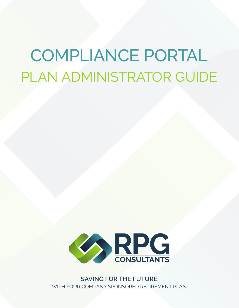## COMPLIANCE PORTAL PLAN ADMINISTRATOR GUIDE



**SAVING FOR THE FUTURE** WITH YOUR COMPANY SPONSORED RETIREMENT PLAN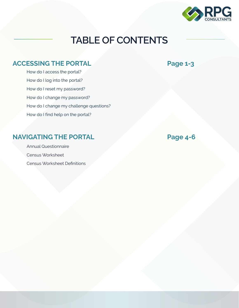

## **TABLE OF CONTENTS**

#### ACCESSING THE PORTAL **Page 1-3**

How do I access the portal? How do I log into the portal? How do I reset my password? How do I change my password? How do I change my challenge questions? How do I find help on the portal?

#### **NAVIGATING THE PORTAL Page 4-6**

Annual Questionnaire Census Worksheet Census Worksheet Definitions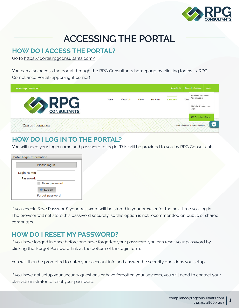

### **ACCESSING THE PORTAL**

#### **HOW DO I ACCESS THE PORTAL?**

Go to https://portal.rpgconsultants.com/

You can also access the portal through the RPG Consultants homepage by clicking logins -> RPG Compliance Portal (upper-right corner)



#### **HOW DO I LOG IN TO THE PORTAL?**

You will need your login name and password to log in. This will be provided to you by RPG Consultants.

| Enter Login Information                 |  |  |  |
|-----------------------------------------|--|--|--|
| Please log in                           |  |  |  |
| Login Name:<br>Password:                |  |  |  |
| Save password                           |  |  |  |
| $\Rightarrow$ Log In<br>Forgot password |  |  |  |
|                                         |  |  |  |

If you check 'Save Password', your password will be stored in your browser for the next time you log in. The browser will not store this password securely, so this option is not recommended on public or shared computers.

#### **HOW DO I RESET MY PASSWORD?**

If you have logged in once before and have forgotten your password, you can reset your password by clicking the 'Forgot Password' link at the bottom of the login form.

You will then be prompted to enter your account info and answer the security questions you setup.

If you have not setup your security questions or have forgotten your answers, you will need to contact your plan administrator to reset your password.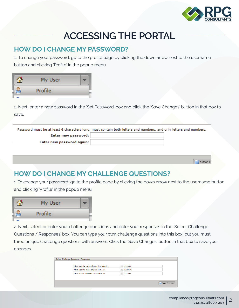

## **ACCESSING THE PORTAL**

#### **HOW DO I CHANGE MY PASSWORD?**

1. To change your password, go to the profile page by clicking the down arrow next to the username button and clicking 'Profile' in the popup menu.

| My User |  |  |
|---------|--|--|
| Profile |  |  |

2. Next, enter a new password in the 'Set Password' box and click the 'Save Changes' button in that box to save.

| Password must be at least 6 characters long, must contain both letters and numbers, and only letters and numbers. |  |  |  |  |
|-------------------------------------------------------------------------------------------------------------------|--|--|--|--|
| Enter new password:                                                                                               |  |  |  |  |
| Enter new password again:                                                                                         |  |  |  |  |
|                                                                                                                   |  |  |  |  |

#### **HOW DO I CHANGE MY CHALLENGE QUESTIONS?**

1. To change your password, go to the profile page by clicking the down arrow next to the username button and clicking 'Profile' in the popup menu.

| Jser           |  |
|----------------|--|
| <b>Profile</b> |  |

2. Next, select or enter your challenge questions and enter your responses in the 'Select Challenge Questions / Responses' box. You can type your own challenge questions into this box, but you must three unique challenge questions with answers. Click the 'Save Changes' button in that box to save your changes.

| Select Challenge Questions / Responses  |                          |                |              |
|-----------------------------------------|--------------------------|----------------|--------------|
| What was the name of your first friend? | $\overline{\phantom{a}}$ | <b>XXXXXX</b>  |              |
| What was the make of your first car?    | $\overline{\phantom{a}}$ | <b>XXXXXXX</b> |              |
| What is your mother's middle name?      | $\mathbf{v}$             | <b>XXXXXXX</b> |              |
|                                         |                          |                |              |
|                                         |                          |                | Save Changes |
|                                         |                          |                |              |

Save C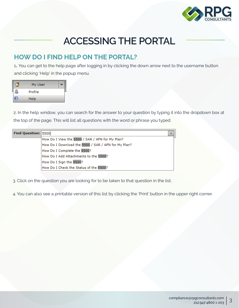

## **ACCESSING THE PORTAL**

#### **HOW DO I FIND HELP ON THE PORTAL?**

1**.** You can get to the help page after logging in by clicking the down arrow next to the username button and clicking 'Help' in the popup menu.

| My User |  |
|---------|--|
| Profile |  |
| Help    |  |

2. In the help window, you can search for the answer to your question by typing it into the dropdown box at the top of the page. This will list all questions with the word or phrase you typed.

| Find Question: 5500 | $\overline{\mathbf{v}}$                             |  |
|---------------------|-----------------------------------------------------|--|
|                     | How Do I View the 5500 / SAR / AFN for My Plan?     |  |
|                     | How Do I Download the 5500 / SAR / AFN for My Plan? |  |
|                     | How Do I Complete the 5500?                         |  |
|                     | How Do I Add Attachments to the 5500?               |  |
|                     | How Do I Sign the 5500?                             |  |
|                     | How Do I Check the Status of the 5500?              |  |

3. Click on the question you are looking for to be taken to that question in the list.

4. You can also see a printable version of this list by clicking the 'Print' button in the upper right corner.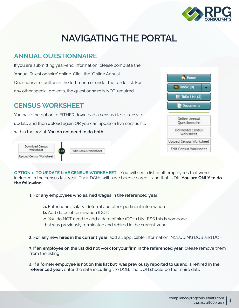

## **NAVIGATING THE PORTAL**

#### **ANNUAL QUESTIONNAIRE**

If you are submitting year-end information, please complete the 'Annual Questionnaire' online. Click the 'Online Annual Questionnaire' button in the left menu or under the to-do list. For any other special projects, the questionnaire is NOT required.

#### **CENSUS WORKSHEET**

You have the option to EITHER download a census file as a .csv to update and then upload again OR you can update a live census file within the portal. **You do not need to do both.**



**Edit Census Worksheet** 

**OPTION 1: TO UPDATE LIVE CENSUS WORKSHEET** - You will see a list of all employees that were included in the census last year. Their DOHs will have been cleared – and that is OK. **You are ONLY to do the following:**

#### 1. **For any employees who earned wages in the referenced year:**

**a.** Enter hours, salary, deferral and other pertinent information

**b.** Add dates of termination (DOT)

**c.** You do NOT need to add a date of hire (DOH) UNLESS this is someone that was previously terminated and rehired in the current year

2. **For any new hires in the current year**, add all applicable information INCLUDING DOB and DOH

3. **If an employee on the list did not work for your firm in the referenced year,** please remove them from the listing

4. **If a former employee is not on this list but was previously reported to us and is rehired in the referenced year,** enter the data including the DOB. The DOH should be the rehire date

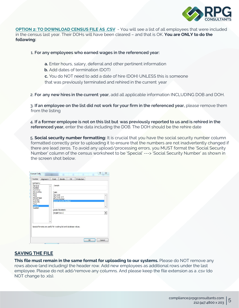

**OPTION 2: TO DOWNLOAD CENSUS FILE AS .CSV** - You will see a list of all employees that were included in the census last year. Their DOHs will have been cleared – and that is OK. **You are ONLY to do the following:**

#### 1. **For any employees who earned wages in the referenced year:**

- **a.** Enter hours, salary, deferral and other pertinent information
- **b.** Add dates of termination (DOT)
- **c.** You do NOT need to add a date of hire (DOH) UNLESS this is someone

that was previously terminated and rehired in the current year

2. **For any new hires in the current year**, add all applicable information INCLUDING DOB and DOH.

3. **If an employee on the list did not work for your firm in the referenced year,** please remove them from the listing

4. **If a former employee is not on this list but was previously reported to us and is rehired in the referenced year,** enter the data including the DOB. The DOH should be the rehire date

5. **Social security number formatting:** It is crucial that you have the social security number column formatted correctly prior to uploading it to ensure that the numbers are not inadvertently changed if there are lead zeros. To avoid any upload/processing errors, you MUST format the 'Social Security Number' column of the census worksheet to be 'Special' ---> 'Social Security Number' as shown in the screen shot below.

| Number                                                                                                                        | Alignment | Font                        | Border                                                                 | Fill | Protection |                          |
|-------------------------------------------------------------------------------------------------------------------------------|-----------|-----------------------------|------------------------------------------------------------------------|------|------------|--------------------------|
| Category:<br>General<br>×<br>Number<br>Currency<br>Accounting<br>Date<br>Time<br>Percentage<br>Fraction<br>Scientific<br>Text |           | Sample<br>Type:<br>Zip Code | $Zip Code + 4$<br><b>Phone Number</b><br><b>Social Security Number</b> |      |            |                          |
| Special<br>Custom                                                                                                             |           |                             | Locale (location):                                                     |      |            | $\overline{\phantom{a}}$ |
|                                                                                                                               |           |                             | English (U.S.)                                                         |      |            | $\overline{\phantom{a}}$ |
| Special formats are useful for tracking list and database values.                                                             |           |                             |                                                                        |      |            |                          |

#### **SAVING THE FILE**

**This file must remain in the same format for uploading to our systems.** Please do NOT remove any rows above (and including) the header row. Add new employees as additional rows under the last employee. Please do not add/remove any columns. And please keep the file extension as a .csv (do NOT change to .xls).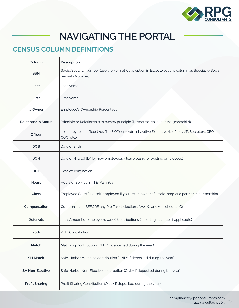

## **NAVIGATING THE PORTAL**

#### **CENSUS COLUMN DEFINITIONS**

| Column                     | Description                                                                                                              |
|----------------------------|--------------------------------------------------------------------------------------------------------------------------|
| <b>SSN</b>                 | Social Security Number (use the Format Cells option in Excel to set this column as Special -> Social<br>Security Number) |
| Last                       | Last Name                                                                                                                |
| First                      | <b>First Name</b>                                                                                                        |
| % Owner                    | Employee's Ownership Percentage                                                                                          |
| <b>Relationship Status</b> | Principle or Relationship to owner/principle (i.e spouse, child, parent, grandchild)                                     |
| Officer                    | Is employee an officer (Yes/No)? Officer = Administrative Executive (i.e. Pres., VP, Secretary, CEO,<br>COO, etc.)       |
| <b>DOB</b>                 | Date of Birth                                                                                                            |
| <b>DOH</b>                 | Date of Hire (ONLY for new employees - leave blank for existing employees)                                               |
| <b>DOT</b>                 | Date of Termination                                                                                                      |
| Hours                      | Hours of Service in This Plan Year                                                                                       |
| Class                      | Employee Class (use self-employed if you are an owner of a sole-prop or a partner in partnership)                        |
| Compensation               | Compensation BEFORE any Pre-Tax deductions (W2, K1 and/or schedule C)                                                    |
| <b>Deferrals</b>           | Total Amount of Employee's 401(k) Contributions (including catchup, if applicable)                                       |
| Roth                       | Roth Contribution                                                                                                        |
| Match                      | Matching Contribution (ONLY if deposited during the year)                                                                |
| <b>SH Match</b>            | Safe-Harbor Matching contribution (ONLY if deposited during the year)                                                    |
| <b>SH Non-Elective</b>     | Safe-Harbor Non-Elective contribution (ONLY if deposited during the year)                                                |
| <b>Profit Sharing</b>      | Profit Sharing Contribution (ONLY if deposited during the year)                                                          |